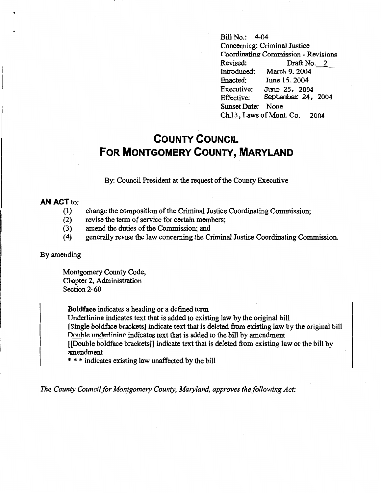Bill No.: 4-04 Concerning: Criminal Justice Coordinating Commission - Revisions<br>Revised: Draft No. 2 Revised: Draft No. 2<br>Introduced: March 9. 2004 Introduced: March 9. 2004<br>Enacted: June 15, 2004 Enacted: June 15, 2004<br>Executive: June 25, 200 Executive: June 25, 2004<br>Effective: September 24, September 24, 2004 Sunset Date: None Ch<sub>13</sub>, Laws of Mont. Co. 2004

## **COUNTY COUNCIL FOR MONTGOMERY COUNTY, MARYLAND**

By: Council President at the request of the County Executive

## **AN ACT** to:

- (1) change the composition of the Criminal Justice Coordinating Commission;
- (2) revise the term of service for certain members;
- (3) amend the duties of the Commission; and
- (4) generally revise the law concerning the Criminal Justice Coordinating Commission.

## By amending

Montgomery County Code, Chapter 2, Administration Section 2-60

**Boldface** indicates a heading or a defined term

Underlining indicates text that is added to existing law by the original bill [Single boldface brackets] indicate text that is deleted from existing law by the original bill Double underlining indicates text that is added to the bill by amendment [[Double boldface brackets]] indicate text that is deleted from existing law or the bill by amendment

\* \* \* indicates existing law unaffected by the bill

*The County Council for Montgomery County, Maryland, approves the following Act:*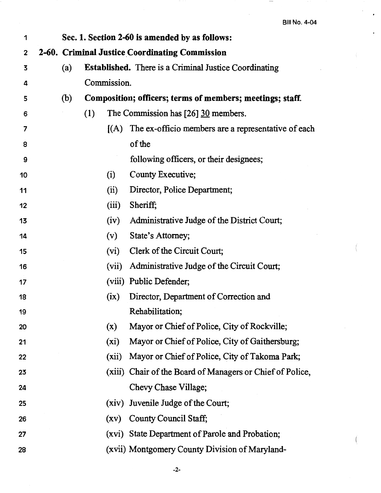$\hspace{0.1mm}$ 

| 1  | Sec. 1. Section 2-60 is amended by as follows: |                                                |                                                              |                                                           |  |  |
|----|------------------------------------------------|------------------------------------------------|--------------------------------------------------------------|-----------------------------------------------------------|--|--|
| 2  |                                                | 2-60. Criminal Justice Coordinating Commission |                                                              |                                                           |  |  |
| 3  | (a)                                            |                                                | <b>Established.</b> There is a Criminal Justice Coordinating |                                                           |  |  |
| 4  |                                                |                                                | Commission.                                                  |                                                           |  |  |
| 5  | (b)                                            |                                                | Composition; officers; terms of members; meetings; staff.    |                                                           |  |  |
| 6  |                                                | (1)                                            |                                                              | The Commission has [26] 30 members.                       |  |  |
| 7  |                                                |                                                | (A)                                                          | The ex-officio members are a representative of each       |  |  |
| 8  |                                                |                                                |                                                              | of the                                                    |  |  |
| 9  |                                                |                                                |                                                              | following officers, or their designees;                   |  |  |
| 10 |                                                |                                                | (i)                                                          | County Executive;                                         |  |  |
| 11 |                                                |                                                | (ii)                                                         | Director, Police Department;                              |  |  |
| 12 |                                                |                                                | (iii)                                                        | Sheriff;                                                  |  |  |
| 13 |                                                |                                                | (iv)                                                         | Administrative Judge of the District Court;               |  |  |
| 14 |                                                |                                                | (v)                                                          | State's Attorney;                                         |  |  |
| 15 |                                                |                                                | (vi)                                                         | Clerk of the Circuit Court;                               |  |  |
| 16 |                                                |                                                | (vii)                                                        | Administrative Judge of the Circuit Court;                |  |  |
| 17 |                                                |                                                |                                                              | (viii) Public Defender;                                   |  |  |
| 18 |                                                |                                                | (ix)                                                         | Director, Department of Correction and                    |  |  |
| 19 |                                                |                                                |                                                              | Rehabilitation;                                           |  |  |
| 20 |                                                |                                                | (x)                                                          | Mayor or Chief of Police, City of Rockville;              |  |  |
| 21 |                                                |                                                | (xi)                                                         | Mayor or Chief of Police, City of Gaithersburg;           |  |  |
| 22 |                                                |                                                | (xii)                                                        | Mayor or Chief of Police, City of Takoma Park;            |  |  |
| 23 |                                                |                                                |                                                              | (xiii) Chair of the Board of Managers or Chief of Police, |  |  |
| 24 |                                                |                                                |                                                              | Chevy Chase Village;                                      |  |  |
| 25 |                                                |                                                |                                                              | (xiv) Juvenile Judge of the Court;                        |  |  |
| 26 |                                                |                                                | (xv)                                                         | County Council Staff;                                     |  |  |
| 27 |                                                |                                                |                                                              | (xvi) State Department of Parole and Probation;           |  |  |
| 28 |                                                |                                                |                                                              | (xvii) Montgomery County Division of Maryland-            |  |  |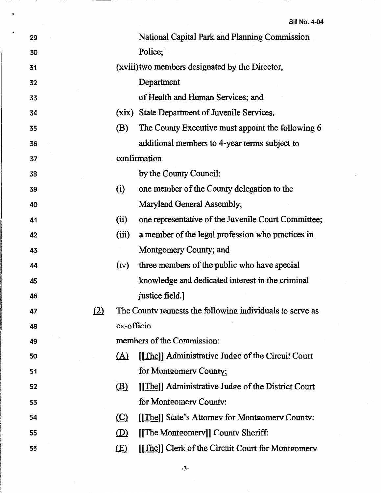| 29 |            |                            | National Capital Park and Planning Commission             |
|----|------------|----------------------------|-----------------------------------------------------------|
| 30 |            |                            | Police;                                                   |
| 31 |            |                            | (xviii) two members designated by the Director,           |
| 32 |            |                            | Department                                                |
| 33 |            |                            | of Health and Human Services; and                         |
| 34 |            |                            | (xix) State Department of Juvenile Services.              |
| 35 |            | (B)                        | The County Executive must appoint the following 6         |
| 36 |            |                            | additional members to 4-year terms subject to             |
| 37 |            |                            | confirmation                                              |
| 38 |            |                            | by the County Council:                                    |
| 39 |            | (i)                        | one member of the County delegation to the                |
| 40 |            |                            | Maryland General Assembly;                                |
| 41 |            | (ii)                       | one representative of the Juvenile Court Committee;       |
| 42 |            | (iii)                      | a member of the legal profession who practices in         |
| 43 |            |                            | Montgomery County; and                                    |
| 44 |            | (iv)                       | three members of the public who have special              |
| 45 |            |                            | knowledge and dedicated interest in the criminal          |
| 46 |            |                            | justice field.]                                           |
| 47 | <u>(2)</u> |                            | The County requests the following individuals to serve as |
| 48 |            | ex-officio                 |                                                           |
| 49 |            |                            | members of the Commission:                                |
| 50 |            | $\Delta$                   | [[The]] Administrative Judge of the Circuit Court         |
| 51 |            |                            | for Montgomery County;                                    |
| 52 |            | <u>(B)</u>                 | [[The]] Administrative Judge of the District Court        |
| 53 |            |                            | for Montgomery County:                                    |
| 54 |            | $\left( \mathbb{C}\right)$ | [[The]] State's Attorney for Montgomery County:           |
| 55 |            | (D)                        | [The Montgomery]] County Sheriff:                         |
| 56 |            | (E)                        | [[The]] Clerk of the Circuit Court for Montgomery         |

-3-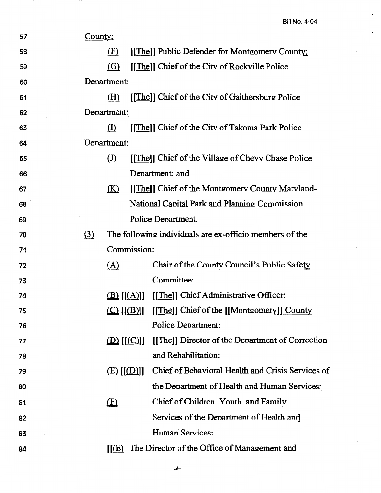Ĭ.

J.

 $\hspace{0.1mm}-\hspace{0.1mm}$ 

| 57 | County; |                            |                           |                                                         |  |  |  |
|----|---------|----------------------------|---------------------------|---------------------------------------------------------|--|--|--|
| 58 |         | (F)                        |                           | [[The]] Public Defender for Montgomery County;          |  |  |  |
| 59 |         | <u>(G)</u>                 |                           | [[The]] Chief of the City of Rockville Police           |  |  |  |
| 60 |         | Department:                |                           |                                                         |  |  |  |
| 61 |         | (H)                        |                           | [[The]] Chief of the City of Gaithersburg Police        |  |  |  |
| 62 |         | Department:                |                           |                                                         |  |  |  |
| 63 |         | $\left( \mathrm{I}\right)$ |                           | [[The]] Chief of the Citv of Takoma Park Police         |  |  |  |
| 64 |         | Department:                |                           |                                                         |  |  |  |
| 65 |         | $\Omega$                   |                           | [[The]] Chief of the Village of Chevy Chase Police      |  |  |  |
| 66 |         |                            |                           | Department: and                                         |  |  |  |
| 67 |         | <u>(K)</u>                 |                           | [[The]] Chief of the Montgomery County Maryland-        |  |  |  |
| 68 |         |                            |                           | National Capital Park and Planning Commission           |  |  |  |
| 69 |         |                            |                           | Police Department.                                      |  |  |  |
| 70 | (3)     |                            |                           | The following individuals are ex-officio members of the |  |  |  |
| 71 |         |                            | Commission:               |                                                         |  |  |  |
| 72 |         | (A)                        |                           | Chair of the County Council's Public Safety             |  |  |  |
| 73 |         |                            |                           | Committee:                                              |  |  |  |
| 74 |         |                            | $\underline{(B)} [[(A)]]$ | [[The]] Chief Administrative Officer:                   |  |  |  |
| 75 |         |                            |                           | (C) [[(B)]] [[The]] Chief of the [[Montgomery]] County  |  |  |  |
| 76 |         |                            |                           | <b>Police Department:</b>                               |  |  |  |
| 77 |         |                            | $(D)$ $[(C)]$             | [[The]] Director of the Department of Correction        |  |  |  |
| 78 |         |                            |                           | and Rehabilitation:                                     |  |  |  |
| 79 |         |                            | E([D                      | Chief of Behavioral Health and Crisis Services of       |  |  |  |
| 80 |         |                            |                           | the Department of Health and Human Services:            |  |  |  |
| 81 |         | $\mathbf{E}$               |                           | Chief of Children. Youth. and Family                    |  |  |  |
| 82 |         |                            |                           | Services of the Denartment of Health and                |  |  |  |
| 83 |         |                            |                           | Human Services:                                         |  |  |  |
| 84 |         | $\mathsf{I}(\mathsf{E})$   |                           | The Director of the Office of Management and            |  |  |  |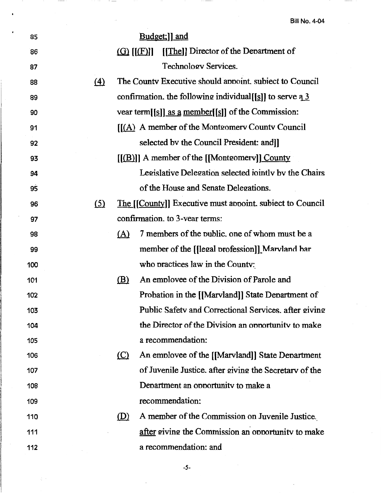| 85  |                   |            | Budget;] and                                                          |
|-----|-------------------|------------|-----------------------------------------------------------------------|
| 86  |                   |            | [[The]] Director of the Department of<br>$\Omega$ [ $[$ $E$ ]]        |
| 87  |                   |            | Technology Services.                                                  |
| 88  | $\left( 4\right)$ |            | The County Executive should appoint, subject to Council               |
| 89  |                   |            | confirmation. the following individual [[s]] to serve $3\overline{3}$ |
| 90  |                   |            | vear term[[s]] as a member[[s]] of the Commission:                    |
| 91  |                   |            | [[(A) A member of the Montgomery County Council                       |
| 92  |                   |            | selected by the Council President: and]                               |
| 93  |                   |            | $[[(B)]]$ A member of the $[[\text{Monteomerv}]]$ County              |
| 94  |                   |            | Legislative Delegation selected iointly by the Chairs                 |
| 95  |                   |            | of the House and Senate Delegations.                                  |
| 96  | (5)               |            | The [[County]] Executive must appoint. subject to Council             |
| 97  |                   |            | confirmation. to 3-year terms:                                        |
| 98  |                   | <u>(A)</u> | 7 members of the public, one of whom must be a                        |
| 99  |                   |            | member of the [[legal profession]] Marvland bar                       |
| 100 |                   |            | who practices law in the County:                                      |
| 101 |                   | <u>(B)</u> | An employee of the Division of Parole and                             |
| 102 |                   |            | Probation in the [[Marvland]] State Department of                     |
| 103 |                   |            | Public Safety and Correctional Services. after giving                 |
| 104 |                   |            | the Director of the Division an opportunity to make                   |
| 105 |                   |            | a recommendation:                                                     |
| 106 |                   | $\circ$    | An employee of the [[Marvland]] State Department                      |
| 107 |                   |            | of Juvenile Justice, after giving the Secretary of the                |
| 108 |                   |            | Department an opportunity to make a                                   |
| 109 |                   |            | recommendation:                                                       |
| 110 |                   | <u>(D)</u> | A member of the Commission on Juvenile Justice.                       |
| 111 |                   |            | after giving the Commission an opportunity to make                    |
| 112 |                   |            | a recommendation: and                                                 |

 $\cdot$  =  $-$ 

-5-

 $\zeta \rightarrow$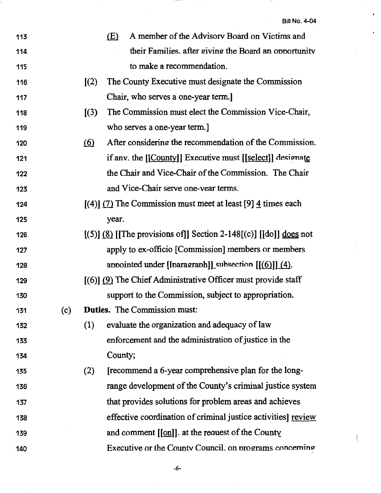$\ddot{\phantom{a}}$ 

 $\ddot{\phantom{0}}$ 

 $\overline{\phantom{0}}$ 

| 113 |     |                             | A member of the Advisory Board on Victims and<br>(E)                       |
|-----|-----|-----------------------------|----------------------------------------------------------------------------|
| 114 |     |                             | their Families, after giving the Board an opportunity                      |
| 115 |     |                             | to make a recommendation.                                                  |
| 116 |     | $\llbracket (2) \rrbracket$ | The County Executive must designate the Commission                         |
| 117 |     |                             | Chair, who serves a one-year term.]                                        |
| 118 |     | (3)                         | The Commission must elect the Commission Vice-Chair,                       |
| 119 |     |                             | who serves a one-year term.]                                               |
| 120 |     | <u>(6)</u>                  | After considering the recommendation of the Commission.                    |
| 121 |     |                             | if anv. the [[County]] Executive must [[select]] designate                 |
| 122 |     |                             | the Chair and Vice-Chair of the Commission. The Chair                      |
| 123 |     |                             | and Vice-Chair serve one-vear terms.                                       |
| 124 |     |                             | $[(4)]$ (7) The Commission must meet at least [9] $\frac{4}{3}$ times each |
| 125 |     |                             | year.                                                                      |
| 126 |     |                             | $[(5)]$ (8) [The provisions of]] Section 2-148[(c)] [[do]] <u>does</u> not |
| 127 |     |                             | apply to ex-officio [Commission] members or members                        |
| 128 |     |                             | appointed under [[paragraph]] subsection $[[(6)]] (4)$ .                   |
| 129 |     |                             | $(6)$ (9) The Chief Administrative Officer must provide staff              |
| 130 |     |                             | support to the Commission, subject to appropriation.                       |
| 131 | (c) |                             | <b>Duties.</b> The Commission must:                                        |
| 132 |     | (1)                         | evaluate the organization and adequacy of law                              |
| 133 |     |                             | enforcement and the administration of justice in the                       |
| 134 |     |                             | County;                                                                    |
| 135 |     | (2)                         | [recommend a 6-year comprehensive plan for the long-                       |
| 136 |     |                             | range development of the County's criminal justice system                  |
| 137 |     |                             | that provides solutions for problem areas and achieves                     |
| 138 |     |                             | effective coordination of criminal justice activities] review              |
| 139 |     |                             | and comment $[[\text{on}]]$ . at the request of the County                 |
| 140 |     |                             | Executive or the County Council. on programs concerning                    |

-6-

 $\hat{\mathcal{A}}$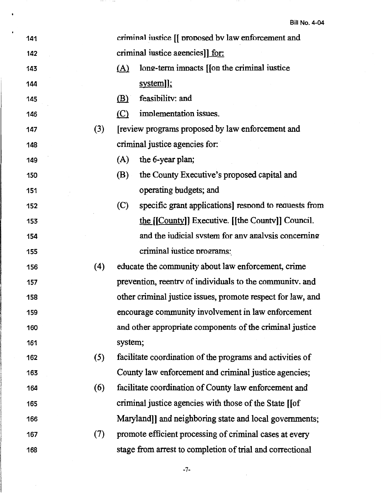| 141 |     |            | criminal iustice [[ proposed by law enforcement and         |
|-----|-----|------------|-------------------------------------------------------------|
| 142 |     |            | criminal iustice agencies]] for:                            |
| 143 |     | <u>(A)</u> | long-term impacts [[on the criminal iustice]                |
| 144 |     |            | system]];                                                   |
| 145 |     | (B)        | feasibility: and                                            |
| 146 |     | $\circ$    | implementation issues.                                      |
| 147 | (3) |            | [review programs proposed by law enforcement and            |
| 148 |     |            | criminal justice agencies for:                              |
| 149 |     | (A)        | the 6-year plan;                                            |
| 150 |     | (B)        | the County Executive's proposed capital and                 |
| 151 |     |            | operating budgets; and                                      |
| 152 |     | (C)        | specific grant applications] respond to requests from       |
| 153 |     |            | the [[County]] Executive. [[the County]] Council.           |
| 154 |     |            | and the indicial system for any analysis concerning         |
| 155 |     |            | criminal iustice programs:                                  |
| 156 | (4) |            | educate the community about law enforcement, crime          |
| 157 |     |            | prevention, reentry of individuals to the community, and    |
| 158 |     |            | other criminal justice issues, promote respect for law, and |
| 159 |     |            | encourage community involvement in law enforcement          |
| 160 |     |            | and other appropriate components of the criminal justice    |
| 161 |     | system;    |                                                             |
| 162 | (5) |            | facilitate coordination of the programs and activities of   |
| 163 |     |            | County law enforcement and criminal justice agencies;       |
| 164 | (6) |            | facilitate coordination of County law enforcement and       |
| 165 |     |            | criminal justice agencies with those of the State [[of      |
| 166 |     |            | Maryland]] and neighboring state and local governments;     |
| 167 | (7) |            | promote efficient processing of criminal cases at every     |
| 168 |     |            | stage from arrest to completion of trial and correctional   |
|     |     |            |                                                             |

 $-7-$ 

 $\overline{\phantom{a}}$ 

 $\hat{\mathcal{A}}$